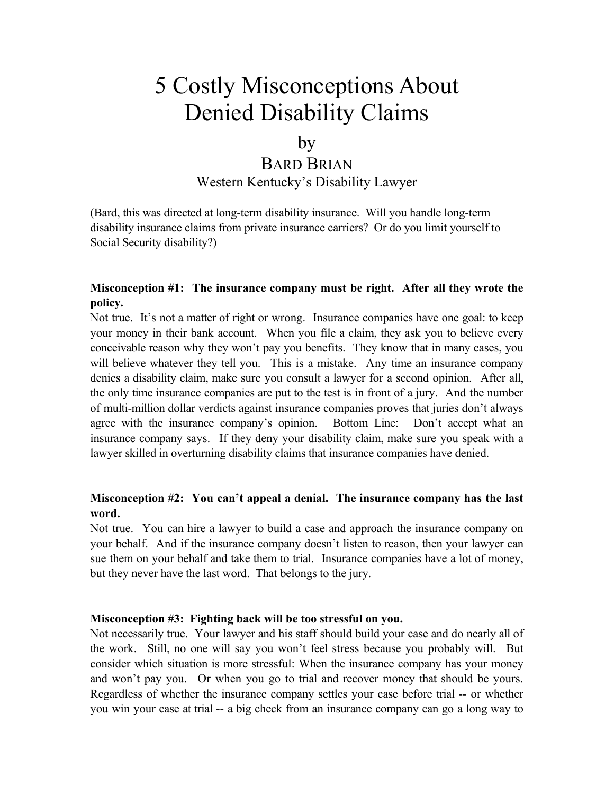# 5 Costly Misconceptions About Denied Disability Claims

### by

## BARD BRIAN

Western Kentucky's Disability Lawyer

(Bard, this was directed at long-term disability insurance. Will you handle long-term disability insurance claims from private insurance carriers? Or do you limit yourself to Social Security disability?)

### **Misconception #1: The insurance company must be right. After all they wrote the policy.**

Not true. It's not a matter of right or wrong. Insurance companies have one goal: to keep your money in their bank account. When you file a claim, they ask you to believe every conceivable reason why they won't pay you benefits. They know that in many cases, you will believe whatever they tell you. This is a mistake. Any time an insurance company denies a disability claim, make sure you consult a lawyer for a second opinion. After all, the only time insurance companies are put to the test is in front of a jury. And the number of multi-million dollar verdicts against insurance companies proves that juries don't always agree with the insurance company's opinion. Bottom Line: Don't accept what an insurance company says. If they deny your disability claim, make sure you speak with a lawyer skilled in overturning disability claims that insurance companies have denied.

### **Misconception #2: You can't appeal a denial. The insurance company has the last word.**

Not true. You can hire a lawyer to build a case and approach the insurance company on your behalf. And if the insurance company doesn't listen to reason, then your lawyer can sue them on your behalf and take them to trial. Insurance companies have a lot of money, but they never have the last word. That belongs to the jury.

#### **Misconception #3: Fighting back will be too stressful on you.**

Not necessarily true. Your lawyer and his staff should build your case and do nearly all of the work. Still, no one will say you won't feel stress because you probably will. But consider which situation is more stressful: When the insurance company has your money and won't pay you. Or when you go to trial and recover money that should be yours. Regardless of whether the insurance company settles your case before trial -- or whether you win your case at trial -- a big check from an insurance company can go a long way to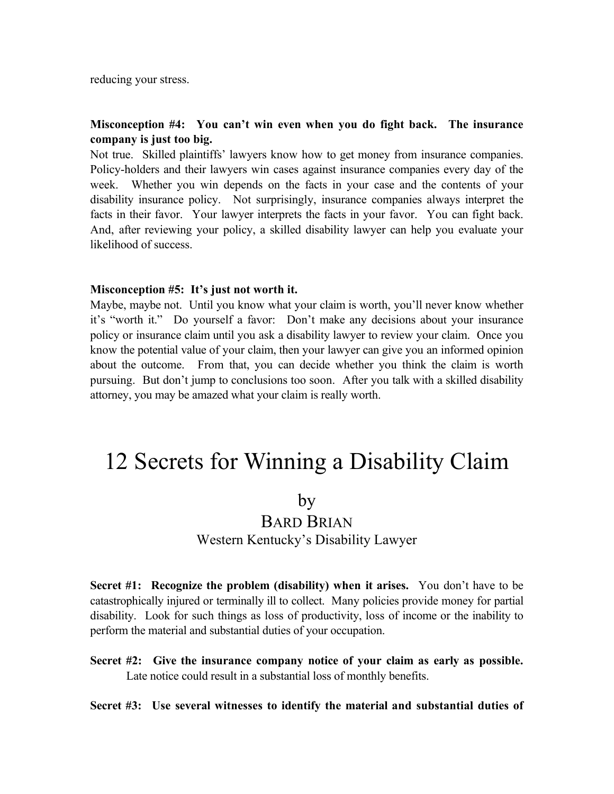reducing your stress.

#### **Misconception #4: You can't win even when you do fight back. The insurance company is just too big.**

Not true. Skilled plaintiffs' lawyers know how to get money from insurance companies. Policy-holders and their lawyers win cases against insurance companies every day of the week. Whether you win depends on the facts in your case and the contents of your disability insurance policy. Not surprisingly, insurance companies always interpret the facts in their favor. Your lawyer interprets the facts in your favor. You can fight back. And, after reviewing your policy, a skilled disability lawyer can help you evaluate your likelihood of success.

#### **Misconception #5: It's just not worth it.**

Maybe, maybe not. Until you know what your claim is worth, you'll never know whether it's "worth it." Do yourself a favor: Don't make any decisions about your insurance policy or insurance claim until you ask a disability lawyer to review your claim. Once you know the potential value of your claim, then your lawyer can give you an informed opinion about the outcome. From that, you can decide whether you think the claim is worth pursuing. But don't jump to conclusions too soon. After you talk with a skilled disability attorney, you may be amazed what your claim is really worth.

# 12 Secrets for Winning a Disability Claim

### by

# BARD BRIAN

Western Kentucky's Disability Lawyer

**Secret #1: Recognize the problem (disability) when it arises.** You don't have to be catastrophically injured or terminally ill to collect. Many policies provide money for partial disability. Look for such things as loss of productivity, loss of income or the inability to perform the material and substantial duties of your occupation.

**Secret #2: Give the insurance company notice of your claim as early as possible.** Late notice could result in a substantial loss of monthly benefits.

#### **Secret #3: Use several witnesses to identify the material and substantial duties of**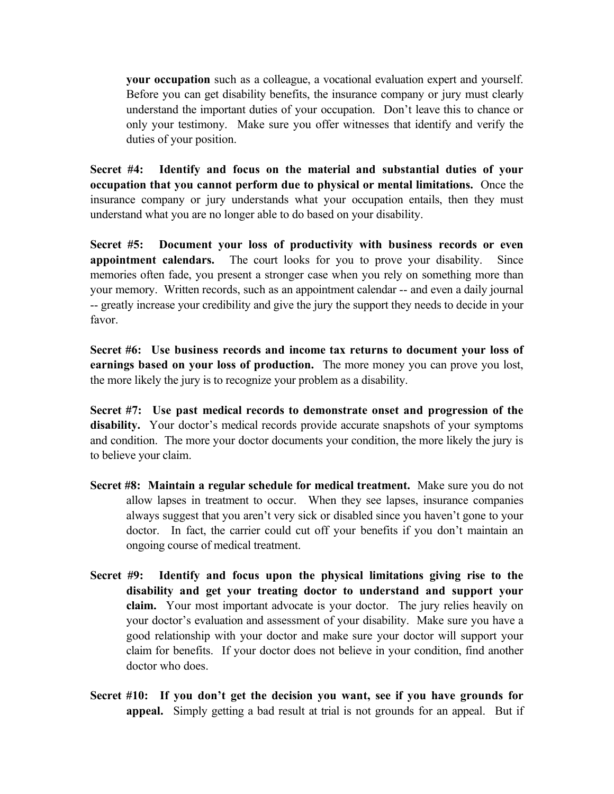**your occupation** such as a colleague, a vocational evaluation expert and yourself. Before you can get disability benefits, the insurance company or jury must clearly understand the important duties of your occupation. Don't leave this to chance or only your testimony. Make sure you offer witnesses that identify and verify the duties of your position.

**Secret #4: Identify and focus on the material and substantial duties of your occupation that you cannot perform due to physical or mental limitations.** Once the insurance company or jury understands what your occupation entails, then they must understand what you are no longer able to do based on your disability.

**Secret #5: Document your loss of productivity with business records or even appointment calendars.** The court looks for you to prove your disability. Since memories often fade, you present a stronger case when you rely on something more than your memory. Written records, such as an appointment calendar -- and even a daily journal -- greatly increase your credibility and give the jury the support they needs to decide in your favor.

**Secret #6: Use business records and income tax returns to document your loss of earnings based on your loss of production.** The more money you can prove you lost, the more likely the jury is to recognize your problem as a disability.

**Secret #7: Use past medical records to demonstrate onset and progression of the disability.** Your doctor's medical records provide accurate snapshots of your symptoms and condition. The more your doctor documents your condition, the more likely the jury is to believe your claim.

- **Secret #8: Maintain a regular schedule for medical treatment.** Make sure you do not allow lapses in treatment to occur. When they see lapses, insurance companies always suggest that you aren't very sick or disabled since you haven't gone to your doctor. In fact, the carrier could cut off your benefits if you don't maintain an ongoing course of medical treatment.
- **Secret #9: Identify and focus upon the physical limitations giving rise to the disability and get your treating doctor to understand and support your claim.** Your most important advocate is your doctor. The jury relies heavily on your doctor's evaluation and assessment of your disability. Make sure you have a good relationship with your doctor and make sure your doctor will support your claim for benefits. If your doctor does not believe in your condition, find another doctor who does.
- **Secret #10: If you don't get the decision you want, see if you have grounds for appeal.** Simply getting a bad result at trial is not grounds for an appeal. But if